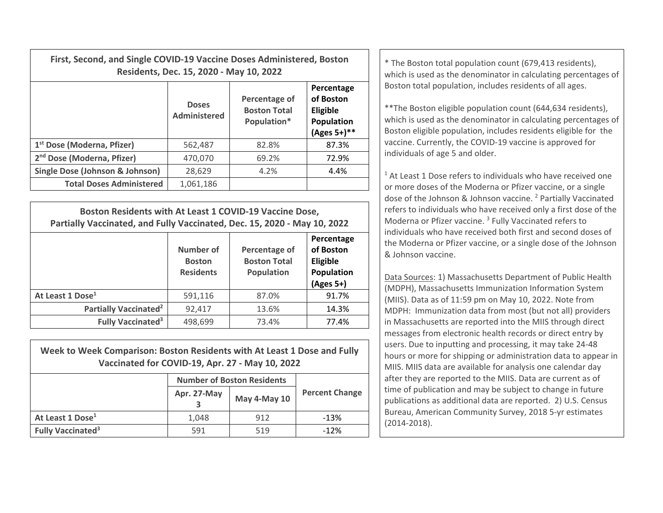| First, Second, and Single COVID-19 Vaccine Doses Administered, Boston<br>Residents, Dec. 15, 2020 - May 10, 2022 |                              |                                                     |                                                                     | * The Boston total population count (679,413 residents),<br>which is used as the denominator in calculating percentages of                                                                                                                                    |
|------------------------------------------------------------------------------------------------------------------|------------------------------|-----------------------------------------------------|---------------------------------------------------------------------|---------------------------------------------------------------------------------------------------------------------------------------------------------------------------------------------------------------------------------------------------------------|
|                                                                                                                  | <b>Doses</b><br>Administered | Percentage of<br><b>Boston Total</b><br>Population* | Percentage<br>of Boston<br>Eligible<br>Population<br>$(Ages 5+)$ ** | Boston total population, includes residents of all ages.<br>** The Boston eligible population count (644,634 residents),<br>which is used as the denominator in calculating percentages of<br>Boston eligible population, includes residents eligible for the |
| 1 <sup>st</sup> Dose (Moderna, Pfizer)                                                                           | 562.487                      | 82.8%                                               | 87.3%                                                               | vaccine. Currently, the COVID-19 vaccine is approved for                                                                                                                                                                                                      |
| 2 <sup>nd</sup> Dose (Moderna, Pfizer)                                                                           | 470,070                      | 69.2%                                               | 72.9%                                                               | individuals of age 5 and older.                                                                                                                                                                                                                               |

| Single Dose (Johnson & Johnson) | 28.629    | 4.2% | 4.4% |  |
|---------------------------------|-----------|------|------|--|
| <b>Total Doses Administered</b> | 1.061.186 |      |      |  |
|                                 |           |      |      |  |
|                                 |           |      |      |  |

| Boston Residents with At Least 1 COVID-19 Vaccine Dose,<br>Partially Vaccinated, and Fully Vaccinated, Dec. 15, 2020 - May 10, 2022 |                                                       |                                                    |                                                                  |  |
|-------------------------------------------------------------------------------------------------------------------------------------|-------------------------------------------------------|----------------------------------------------------|------------------------------------------------------------------|--|
|                                                                                                                                     | <b>Number of</b><br><b>Boston</b><br><b>Residents</b> | Percentage of<br><b>Boston Total</b><br>Population | Percentage<br>of Boston<br>Eligible<br>Population<br>$(Ages 5+)$ |  |
| At Least 1 Dose <sup>1</sup>                                                                                                        | 591,116                                               | 87.0%                                              | 91.7%                                                            |  |
| Partially Vaccinated <sup>2</sup>                                                                                                   | 92,417                                                | 13.6%                                              | 14.3%                                                            |  |
| <b>Fully Vaccinated<sup>3</sup></b>                                                                                                 | 498,699                                               | 73.4%                                              | 77.4%                                                            |  |

| Week to Week Comparison: Boston Residents with At Least 1 Dose and Fully<br>Vaccinated for COVID-19, Apr. 27 - May 10, 2022 |                                   |              |                       |  |  |  |
|-----------------------------------------------------------------------------------------------------------------------------|-----------------------------------|--------------|-----------------------|--|--|--|
|                                                                                                                             | <b>Number of Boston Residents</b> |              |                       |  |  |  |
|                                                                                                                             | Apr. 27-May                       | May 4-May 10 | <b>Percent Change</b> |  |  |  |
| At Least 1 Dose <sup>1</sup>                                                                                                | 1,048                             | 912          | $-13%$                |  |  |  |
| <b>Fully Vaccinated<sup>3</sup></b>                                                                                         | 591                               | 519          | $-12%$                |  |  |  |

 $^1$  At Least 1 Dose refers to individuals who have received one or more doses of the Moderna or Pfizer vaccine, or <sup>a</sup> single dose of the Johnson & Johnson vaccine. <sup>2</sup> Partially Vaccinated refers to individuals who have received only <sup>a</sup> first dose of the Moderna or Pfizer vaccine. <sup>3</sup> Fully Vaccinated refers to individuals who have received both first and second doses of the Moderna or Pfizer vaccine, or <sup>a</sup> single dose of the Johnson & Johnson vaccine.

Data Sources: 1) Massachusetts Department of Public Health (MDPH), Massachusetts Immunization Information System (MIIS). Data as of 11:59 pm on May 10, 2022. Note from MDPH: Immunization data from most (but not all) providers in Massachusetts are reported into the MIIS through direct messages from electronic health records or direct entry by users. Due to inputting and processing, it may take 24‐48 hours or more for shipping or administration data to appear in MIIS. MIIS data are available for analysis one calendar day after they are reported to the MIIS. Data are current as of time of publication and may be subject to change in future publications as additional data are reported. 2) U.S. Census Bureau, American Community Survey, 2018 5‐yr estimates (2014‐2018).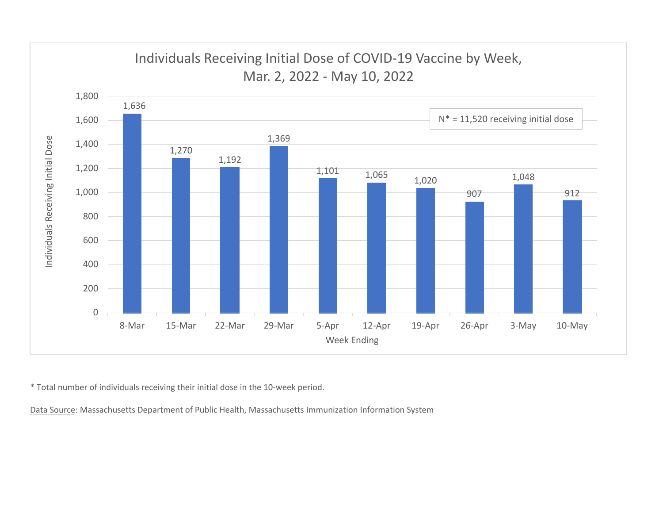

\* Total number of individuals receiving their initial dose in the 10‐week period.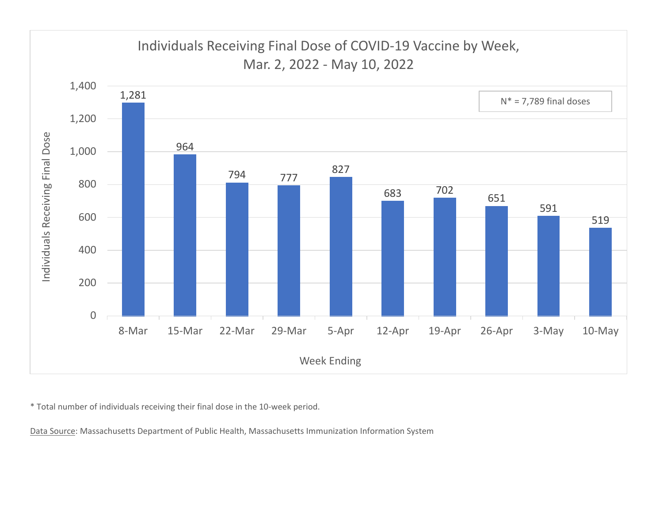

\* Total number of individuals receiving their final dose in the 10‐week period.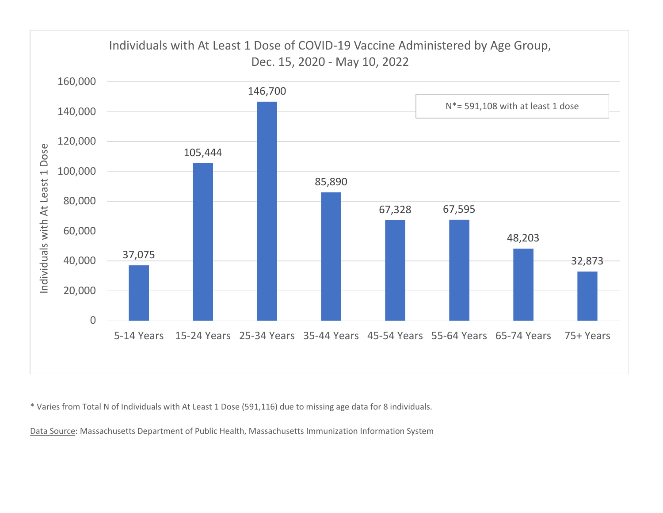

\* Varies from Total N of Individuals with At Least 1 Dose (591,116) due to missing age data for 8 individuals.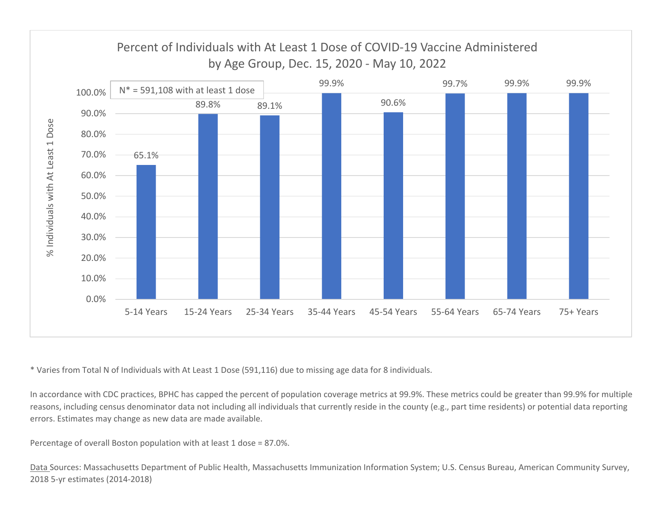

\* Varies from Total N of Individuals with At Least 1 Dose (591,116) due to missing age data for 8 individuals.

In accordance with CDC practices, BPHC has capped the percent of population coverage metrics at 99.9%. These metrics could be greater than 99.9% for multiple reasons, including census denominator data not including all individuals that currently reside in the county (e.g., part time residents) or potential data reporting errors. Estimates may change as new data are made available.

Percentage of overall Boston population with at least 1 dose <sup>=</sup> 87.0%.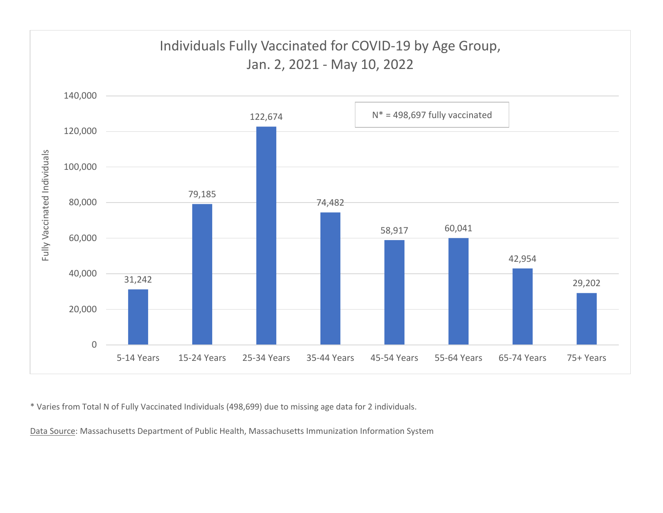

\* Varies from Total N of Fully Vaccinated Individuals (498,699) due to missing age data for 2 individuals.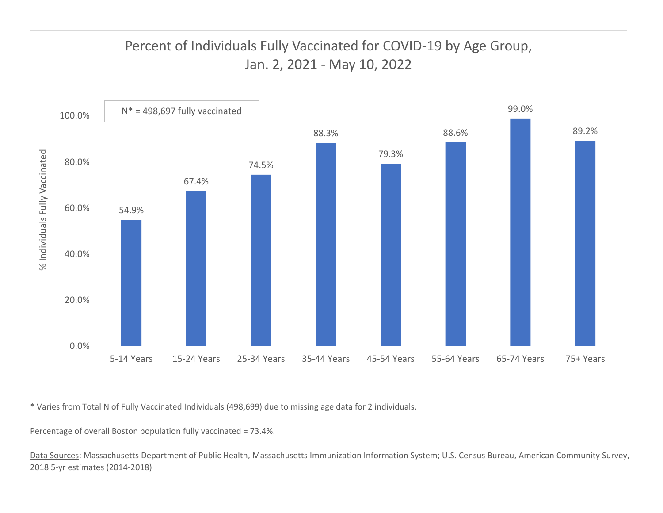

\* Varies from Total N of Fully Vaccinated Individuals (498,699) due to missing age data for 2 individuals.

Percentage of overall Boston population fully vaccinated <sup>=</sup> 73.4%.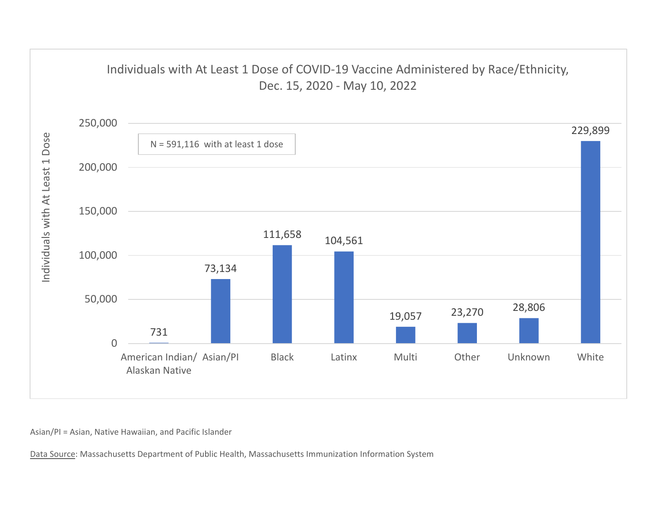

Asian/PI <sup>=</sup> Asian, Native Hawaiian, and Pacific Islander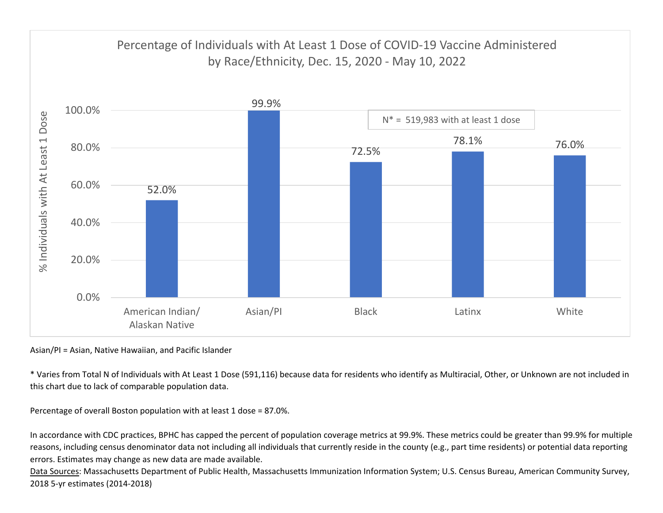

Asian/PI <sup>=</sup> Asian, Native Hawaiian, and Pacific Islander

\* Varies from Total N of Individuals with At Least 1 Dose (591,116) because data for residents who identify as Multiracial, Other, or Unknown are not included in this chart due to lack of comparable population data.

Percentage of overall Boston population with at least 1 dose <sup>=</sup> 87.0%.

In accordance with CDC practices, BPHC has capped the percent of population coverage metrics at 99.9%. These metrics could be greater than 99.9% for multiple reasons, including census denominator data not including all individuals that currently reside in the county (e.g., part time residents) or potential data reporting errors. Estimates may change as new data are made available.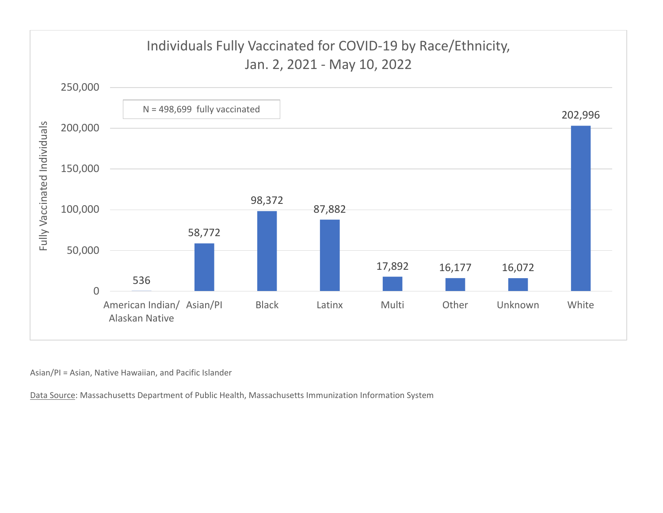

Asian/PI <sup>=</sup> Asian, Native Hawaiian, and Pacific Islander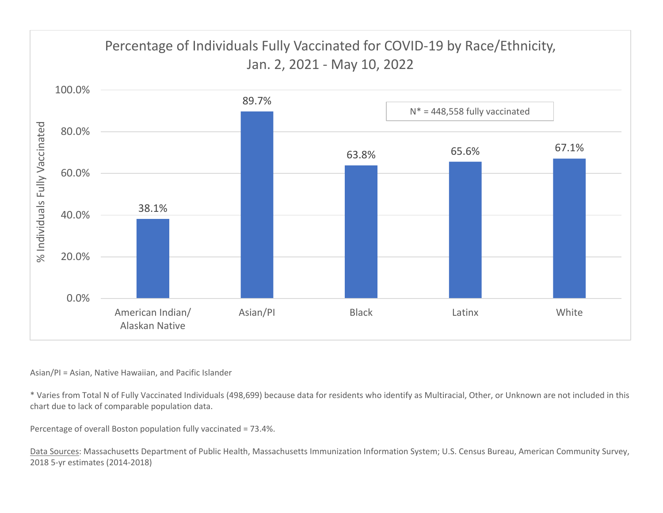

## Asian/PI <sup>=</sup> Asian, Native Hawaiian, and Pacific Islander

\* Varies from Total N of Fully Vaccinated Individuals (498,699) because data for residents who identify as Multiracial, Other, or Unknown are not included in this chart due to lack of comparable population data.

Percentage of overall Boston population fully vaccinated <sup>=</sup> 73.4%.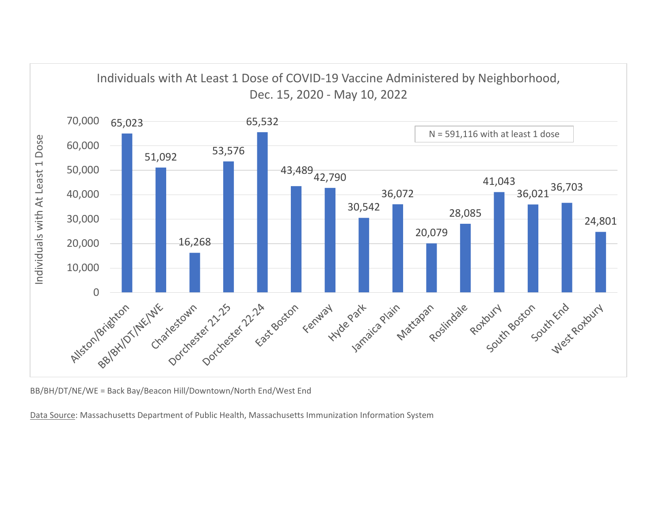

BB/BH/DT/NE/WE <sup>=</sup> Back Bay/Beacon Hill/Downtown/North End/West End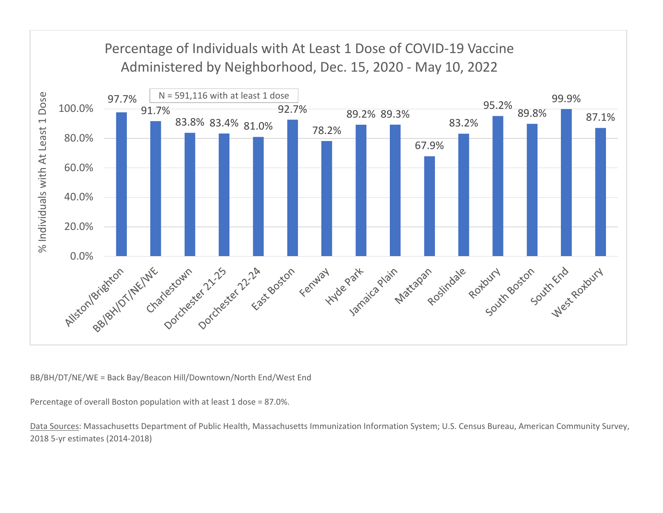

BB/BH/DT/NE/WE <sup>=</sup> Back Bay/Beacon Hill/Downtown/North End/West End

Percentage of overall Boston population with at least 1 dose <sup>=</sup> 87.0%.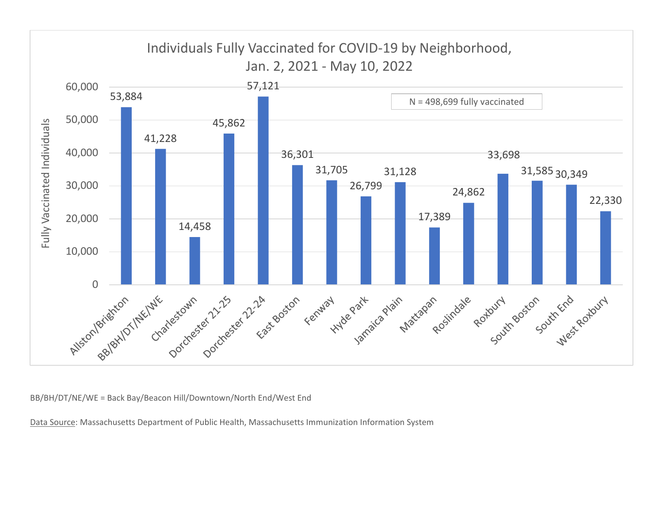

BB/BH/DT/NE/WE <sup>=</sup> Back Bay/Beacon Hill/Downtown/North End/West End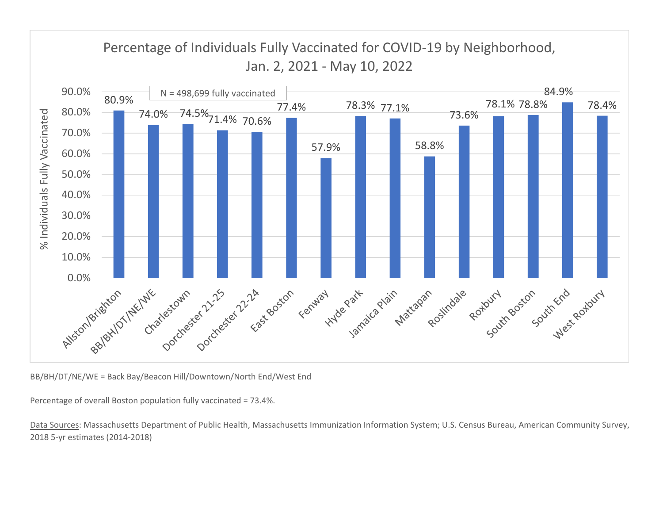

BB/BH/DT/NE/WE <sup>=</sup> Back Bay/Beacon Hill/Downtown/North End/West End

Percentage of overall Boston population fully vaccinated <sup>=</sup> 73.4%.